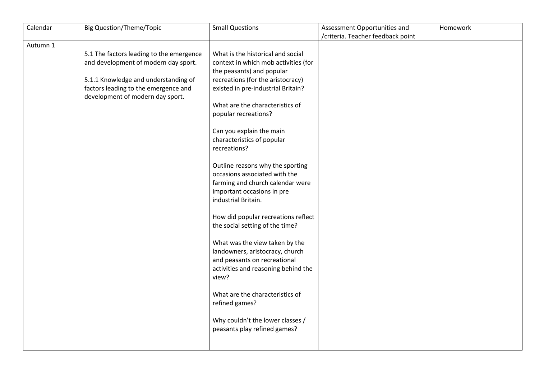| Calendar | <b>Big Question/Theme/Topic</b>          | <b>Small Questions</b>               | Assessment Opportunities and      | Homework |
|----------|------------------------------------------|--------------------------------------|-----------------------------------|----------|
|          |                                          |                                      | /criteria. Teacher feedback point |          |
| Autumn 1 |                                          |                                      |                                   |          |
|          | 5.1 The factors leading to the emergence | What is the historical and social    |                                   |          |
|          | and development of modern day sport.     | context in which mob activities (for |                                   |          |
|          |                                          | the peasants) and popular            |                                   |          |
|          | 5.1.1 Knowledge and understanding of     | recreations (for the aristocracy)    |                                   |          |
|          | factors leading to the emergence and     | existed in pre-industrial Britain?   |                                   |          |
|          | development of modern day sport.         |                                      |                                   |          |
|          |                                          | What are the characteristics of      |                                   |          |
|          |                                          | popular recreations?                 |                                   |          |
|          |                                          |                                      |                                   |          |
|          |                                          | Can you explain the main             |                                   |          |
|          |                                          | characteristics of popular           |                                   |          |
|          |                                          | recreations?                         |                                   |          |
|          |                                          |                                      |                                   |          |
|          |                                          | Outline reasons why the sporting     |                                   |          |
|          |                                          | occasions associated with the        |                                   |          |
|          |                                          | farming and church calendar were     |                                   |          |
|          |                                          | important occasions in pre           |                                   |          |
|          |                                          | industrial Britain.                  |                                   |          |
|          |                                          | How did popular recreations reflect  |                                   |          |
|          |                                          | the social setting of the time?      |                                   |          |
|          |                                          |                                      |                                   |          |
|          |                                          | What was the view taken by the       |                                   |          |
|          |                                          | landowners, aristocracy, church      |                                   |          |
|          |                                          | and peasants on recreational         |                                   |          |
|          |                                          | activities and reasoning behind the  |                                   |          |
|          |                                          | view?                                |                                   |          |
|          |                                          |                                      |                                   |          |
|          |                                          | What are the characteristics of      |                                   |          |
|          |                                          | refined games?                       |                                   |          |
|          |                                          |                                      |                                   |          |
|          |                                          | Why couldn't the lower classes /     |                                   |          |
|          |                                          | peasants play refined games?         |                                   |          |
|          |                                          |                                      |                                   |          |
|          |                                          |                                      |                                   |          |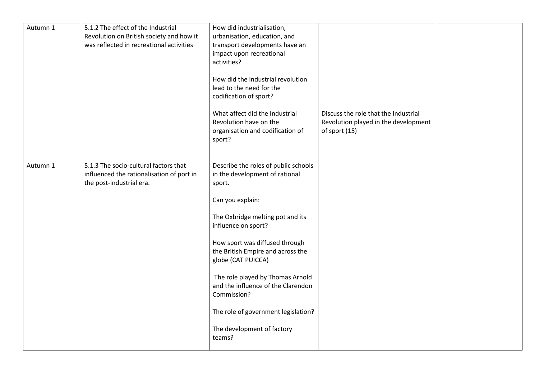| Autumn 1 | 5.1.2 The effect of the Industrial<br>Revolution on British society and how it<br>was reflected in recreational activities | How did industrialisation,<br>urbanisation, education, and<br>transport developments have an<br>impact upon recreational<br>activities?<br>How did the industrial revolution<br>lead to the need for the<br>codification of sport?<br>What affect did the Industrial<br>Revolution have on the                                                                                                                                       | Discuss the role that the Industrial<br>Revolution played in the development |  |
|----------|----------------------------------------------------------------------------------------------------------------------------|--------------------------------------------------------------------------------------------------------------------------------------------------------------------------------------------------------------------------------------------------------------------------------------------------------------------------------------------------------------------------------------------------------------------------------------|------------------------------------------------------------------------------|--|
|          |                                                                                                                            | organisation and codification of<br>sport?                                                                                                                                                                                                                                                                                                                                                                                           | of sport (15)                                                                |  |
| Autumn 1 | 5.1.3 The socio-cultural factors that<br>influenced the rationalisation of port in<br>the post-industrial era.             | Describe the roles of public schools<br>in the development of rational<br>sport.<br>Can you explain:<br>The Oxbridge melting pot and its<br>influence on sport?<br>How sport was diffused through<br>the British Empire and across the<br>globe (CAT PUICCA)<br>The role played by Thomas Arnold<br>and the influence of the Clarendon<br>Commission?<br>The role of government legislation?<br>The development of factory<br>teams? |                                                                              |  |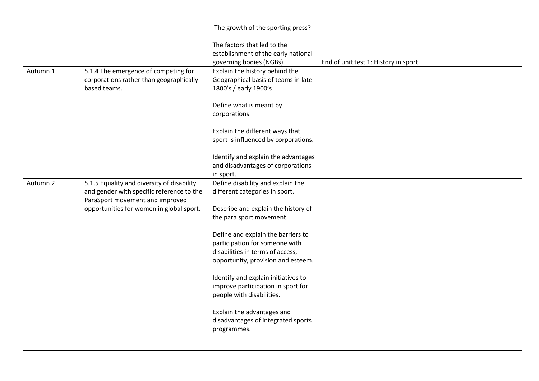|          |                                                                                                                            | The growth of the sporting press?                                                                                                              |                                       |  |
|----------|----------------------------------------------------------------------------------------------------------------------------|------------------------------------------------------------------------------------------------------------------------------------------------|---------------------------------------|--|
|          |                                                                                                                            | The factors that led to the<br>establishment of the early national<br>governing bodies (NGBs).                                                 | End of unit test 1: History in sport. |  |
| Autumn 1 | 5.1.4 The emergence of competing for<br>corporations rather than geographically-<br>based teams.                           | Explain the history behind the<br>Geographical basis of teams in late<br>1800's / early 1900's                                                 |                                       |  |
|          |                                                                                                                            | Define what is meant by<br>corporations.                                                                                                       |                                       |  |
|          |                                                                                                                            | Explain the different ways that<br>sport is influenced by corporations.                                                                        |                                       |  |
|          |                                                                                                                            | Identify and explain the advantages<br>and disadvantages of corporations<br>in sport.                                                          |                                       |  |
| Autumn 2 | 5.1.5 Equality and diversity of disability<br>and gender with specific reference to the<br>ParaSport movement and improved | Define disability and explain the<br>different categories in sport.                                                                            |                                       |  |
|          | opportunities for women in global sport.                                                                                   | Describe and explain the history of<br>the para sport movement.                                                                                |                                       |  |
|          |                                                                                                                            | Define and explain the barriers to<br>participation for someone with<br>disabilities in terms of access,<br>opportunity, provision and esteem. |                                       |  |
|          |                                                                                                                            | Identify and explain initiatives to<br>improve participation in sport for<br>people with disabilities.                                         |                                       |  |
|          |                                                                                                                            | Explain the advantages and<br>disadvantages of integrated sports<br>programmes.                                                                |                                       |  |
|          |                                                                                                                            |                                                                                                                                                |                                       |  |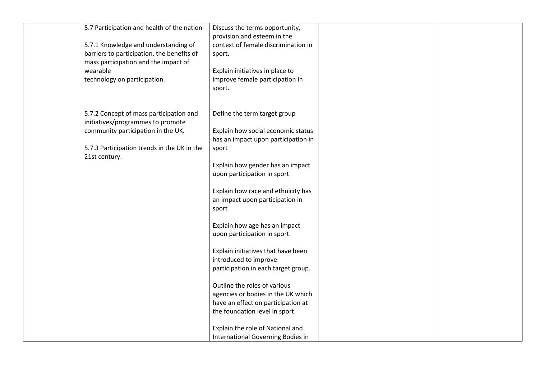| 5.7 Participation and health of the nation  | Discuss the terms opportunity,      |  |
|---------------------------------------------|-------------------------------------|--|
|                                             | provision and esteem in the         |  |
| 5.7.1 Knowledge and understanding of        | context of female discrimination in |  |
| barriers to participation, the benefits of  | sport.                              |  |
| mass participation and the impact of        |                                     |  |
| wearable                                    | Explain initiatives in place to     |  |
| technology on participation.                | improve female participation in     |  |
|                                             | sport.                              |  |
|                                             |                                     |  |
|                                             |                                     |  |
| 5.7.2 Concept of mass participation and     | Define the term target group        |  |
| initiatives/programmes to promote           |                                     |  |
| community participation in the UK.          | Explain how social economic status  |  |
|                                             | has an impact upon participation in |  |
| 5.7.3 Participation trends in the UK in the | sport                               |  |
| 21st century.                               |                                     |  |
|                                             | Explain how gender has an impact    |  |
|                                             | upon participation in sport         |  |
|                                             |                                     |  |
|                                             | Explain how race and ethnicity has  |  |
|                                             | an impact upon participation in     |  |
|                                             | sport                               |  |
|                                             |                                     |  |
|                                             | Explain how age has an impact       |  |
|                                             | upon participation in sport.        |  |
|                                             |                                     |  |
|                                             | Explain initiatives that have been  |  |
|                                             | introduced to improve               |  |
|                                             | participation in each target group. |  |
|                                             |                                     |  |
|                                             | Outline the roles of various        |  |
|                                             | agencies or bodies in the UK which  |  |
|                                             | have an effect on participation at  |  |
|                                             | the foundation level in sport.      |  |
|                                             |                                     |  |
|                                             | Explain the role of National and    |  |
|                                             | International Governing Bodies in   |  |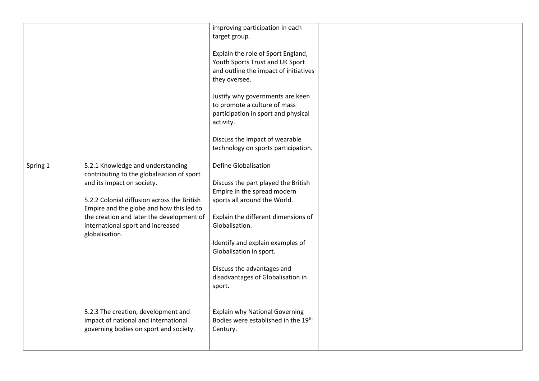|          |                                                                                                                                                                                                                                                                                                              | improving participation in each<br>target group.                                                                                                                                                                                                                                                                                |  |
|----------|--------------------------------------------------------------------------------------------------------------------------------------------------------------------------------------------------------------------------------------------------------------------------------------------------------------|---------------------------------------------------------------------------------------------------------------------------------------------------------------------------------------------------------------------------------------------------------------------------------------------------------------------------------|--|
|          |                                                                                                                                                                                                                                                                                                              | Explain the role of Sport England,<br>Youth Sports Trust and UK Sport<br>and outline the impact of initiatives<br>they oversee.                                                                                                                                                                                                 |  |
|          |                                                                                                                                                                                                                                                                                                              | Justify why governments are keen<br>to promote a culture of mass<br>participation in sport and physical<br>activity.                                                                                                                                                                                                            |  |
|          |                                                                                                                                                                                                                                                                                                              | Discuss the impact of wearable<br>technology on sports participation.                                                                                                                                                                                                                                                           |  |
| Spring 1 | 5.2.1 Knowledge and understanding<br>contributing to the globalisation of sport<br>and its impact on society.<br>5.2.2 Colonial diffusion across the British<br>Empire and the globe and how this led to<br>the creation and later the development of<br>international sport and increased<br>globalisation. | Define Globalisation<br>Discuss the part played the British<br>Empire in the spread modern<br>sports all around the World.<br>Explain the different dimensions of<br>Globalisation.<br>Identify and explain examples of<br>Globalisation in sport.<br>Discuss the advantages and<br>disadvantages of Globalisation in<br>sport. |  |
|          | 5.2.3 The creation, development and<br>impact of national and international<br>governing bodies on sport and society.                                                                                                                                                                                        | <b>Explain why National Governing</b><br>Bodies were established in the 19th<br>Century.                                                                                                                                                                                                                                        |  |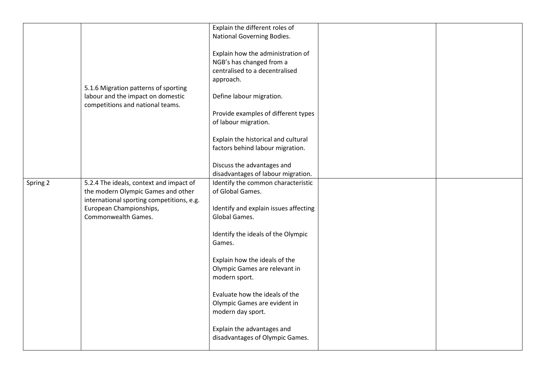|          |                                           | Explain the different roles of        |  |
|----------|-------------------------------------------|---------------------------------------|--|
|          |                                           | National Governing Bodies.            |  |
|          |                                           |                                       |  |
|          |                                           |                                       |  |
|          |                                           | Explain how the administration of     |  |
|          |                                           | NGB's has changed from a              |  |
|          |                                           | centralised to a decentralised        |  |
|          |                                           | approach.                             |  |
|          | 5.1.6 Migration patterns of sporting      |                                       |  |
|          | labour and the impact on domestic         | Define labour migration.              |  |
|          | competitions and national teams.          |                                       |  |
|          |                                           | Provide examples of different types   |  |
|          |                                           | of labour migration.                  |  |
|          |                                           |                                       |  |
|          |                                           | Explain the historical and cultural   |  |
|          |                                           |                                       |  |
|          |                                           | factors behind labour migration.      |  |
|          |                                           |                                       |  |
|          |                                           | Discuss the advantages and            |  |
|          |                                           | disadvantages of labour migration.    |  |
| Spring 2 | 5.2.4 The ideals, context and impact of   | Identify the common characteristic    |  |
|          | the modern Olympic Games and other        | of Global Games.                      |  |
|          | international sporting competitions, e.g. |                                       |  |
|          | European Championships,                   | Identify and explain issues affecting |  |
|          | Commonwealth Games.                       | Global Games.                         |  |
|          |                                           |                                       |  |
|          |                                           | Identify the ideals of the Olympic    |  |
|          |                                           | Games.                                |  |
|          |                                           |                                       |  |
|          |                                           | Explain how the ideals of the         |  |
|          |                                           | Olympic Games are relevant in         |  |
|          |                                           | modern sport.                         |  |
|          |                                           |                                       |  |
|          |                                           | Evaluate how the ideals of the        |  |
|          |                                           | Olympic Games are evident in          |  |
|          |                                           |                                       |  |
|          |                                           | modern day sport.                     |  |
|          |                                           |                                       |  |
|          |                                           | Explain the advantages and            |  |
|          |                                           | disadvantages of Olympic Games.       |  |
|          |                                           |                                       |  |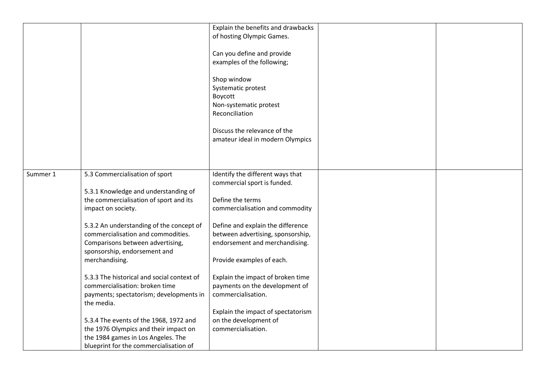|          |                                            | Explain the benefits and drawbacks |  |
|----------|--------------------------------------------|------------------------------------|--|
|          |                                            | of hosting Olympic Games.          |  |
|          |                                            |                                    |  |
|          |                                            | Can you define and provide         |  |
|          |                                            | examples of the following;         |  |
|          |                                            |                                    |  |
|          |                                            | Shop window                        |  |
|          |                                            | Systematic protest                 |  |
|          |                                            | Boycott                            |  |
|          |                                            | Non-systematic protest             |  |
|          |                                            | Reconciliation                     |  |
|          |                                            |                                    |  |
|          |                                            | Discuss the relevance of the       |  |
|          |                                            | amateur ideal in modern Olympics   |  |
|          |                                            |                                    |  |
|          |                                            |                                    |  |
|          |                                            |                                    |  |
| Summer 1 | 5.3 Commercialisation of sport             | Identify the different ways that   |  |
|          |                                            | commercial sport is funded.        |  |
|          | 5.3.1 Knowledge and understanding of       |                                    |  |
|          | the commercialisation of sport and its     | Define the terms                   |  |
|          | impact on society.                         | commercialisation and commodity    |  |
|          |                                            |                                    |  |
|          | 5.3.2 An understanding of the concept of   | Define and explain the difference  |  |
|          | commercialisation and commodities.         | between advertising, sponsorship,  |  |
|          | Comparisons between advertising,           | endorsement and merchandising.     |  |
|          | sponsorship, endorsement and               |                                    |  |
|          | merchandising.                             | Provide examples of each.          |  |
|          |                                            |                                    |  |
|          | 5.3.3 The historical and social context of | Explain the impact of broken time  |  |
|          | commercialisation: broken time             | payments on the development of     |  |
|          | payments; spectatorism; developments in    | commercialisation.                 |  |
|          | the media.                                 |                                    |  |
|          |                                            | Explain the impact of spectatorism |  |
|          | 5.3.4 The events of the 1968, 1972 and     | on the development of              |  |
|          | the 1976 Olympics and their impact on      | commercialisation.                 |  |
|          | the 1984 games in Los Angeles. The         |                                    |  |
|          | blueprint for the commercialisation of     |                                    |  |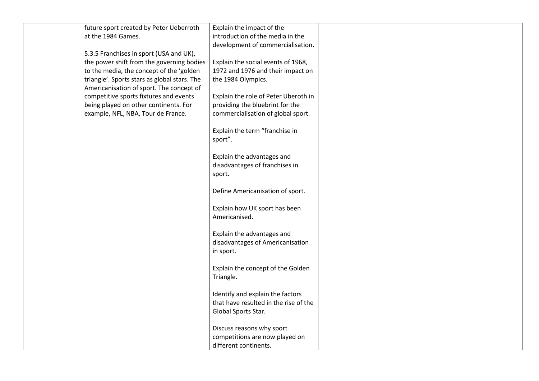| future sport created by Peter Ueberroth      | Explain the impact of the             |  |
|----------------------------------------------|---------------------------------------|--|
| at the 1984 Games.                           | introduction of the media in the      |  |
|                                              | development of commercialisation.     |  |
| 5.3.5 Franchises in sport (USA and UK),      |                                       |  |
| the power shift from the governing bodies    | Explain the social events of 1968,    |  |
| to the media, the concept of the 'golden     | 1972 and 1976 and their impact on     |  |
| triangle'. Sports stars as global stars. The | the 1984 Olympics.                    |  |
| Americanisation of sport. The concept of     |                                       |  |
| competitive sports fixtures and events       | Explain the role of Peter Uberoth in  |  |
| being played on other continents. For        | providing the bluebrint for the       |  |
| example, NFL, NBA, Tour de France.           | commercialisation of global sport.    |  |
|                                              |                                       |  |
|                                              | Explain the term "franchise in        |  |
|                                              | sport".                               |  |
|                                              |                                       |  |
|                                              | Explain the advantages and            |  |
|                                              | disadvantages of franchises in        |  |
|                                              | sport.                                |  |
|                                              | Define Americanisation of sport.      |  |
|                                              |                                       |  |
|                                              | Explain how UK sport has been         |  |
|                                              | Americanised.                         |  |
|                                              |                                       |  |
|                                              | Explain the advantages and            |  |
|                                              | disadvantages of Americanisation      |  |
|                                              | in sport.                             |  |
|                                              |                                       |  |
|                                              | Explain the concept of the Golden     |  |
|                                              | Triangle.                             |  |
|                                              |                                       |  |
|                                              | Identify and explain the factors      |  |
|                                              | that have resulted in the rise of the |  |
|                                              | Global Sports Star.                   |  |
|                                              |                                       |  |
|                                              | Discuss reasons why sport             |  |
|                                              | competitions are now played on        |  |
|                                              | different continents.                 |  |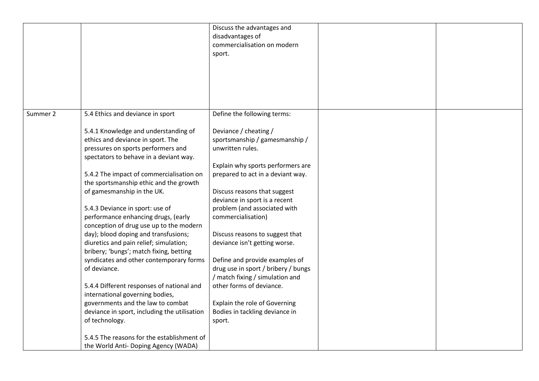|          |                                                                                                                                                           | Discuss the advantages and<br>disadvantages of<br>commercialisation on modern<br>sport.                  |  |
|----------|-----------------------------------------------------------------------------------------------------------------------------------------------------------|----------------------------------------------------------------------------------------------------------|--|
|          |                                                                                                                                                           |                                                                                                          |  |
| Summer 2 | 5.4 Ethics and deviance in sport                                                                                                                          | Define the following terms:                                                                              |  |
|          | 5.4.1 Knowledge and understanding of<br>ethics and deviance in sport. The<br>pressures on sports performers and<br>spectators to behave in a deviant way. | Deviance / cheating /<br>sportsmanship / gamesmanship /<br>unwritten rules.                              |  |
|          | 5.4.2 The impact of commercialisation on<br>the sportsmanship ethic and the growth                                                                        | Explain why sports performers are<br>prepared to act in a deviant way.                                   |  |
|          | of gamesmanship in the UK.                                                                                                                                | Discuss reasons that suggest<br>deviance in sport is a recent                                            |  |
|          | 5.4.3 Deviance in sport: use of<br>performance enhancing drugs, (early<br>conception of drug use up to the modern                                         | problem (and associated with<br>commercialisation)                                                       |  |
|          | day); blood doping and transfusions;<br>diuretics and pain relief; simulation;<br>bribery; 'bungs'; match fixing, betting                                 | Discuss reasons to suggest that<br>deviance isn't getting worse.                                         |  |
|          | syndicates and other contemporary forms<br>of deviance.                                                                                                   | Define and provide examples of<br>drug use in sport / bribery / bungs<br>/ match fixing / simulation and |  |
|          | 5.4.4 Different responses of national and<br>international governing bodies,                                                                              | other forms of deviance.                                                                                 |  |
|          | governments and the law to combat<br>deviance in sport, including the utilisation<br>of technology.                                                       | Explain the role of Governing<br>Bodies in tackling deviance in<br>sport.                                |  |
|          | 5.4.5 The reasons for the establishment of<br>the World Anti- Doping Agency (WADA)                                                                        |                                                                                                          |  |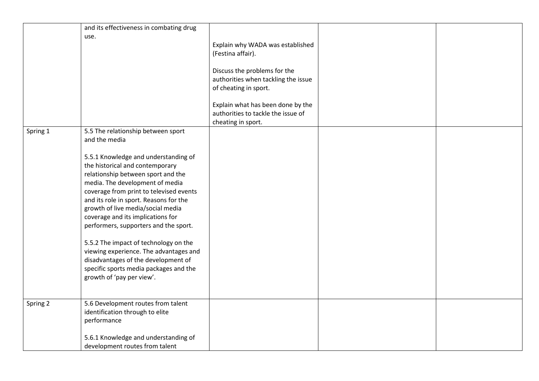|          | and its effectiveness in combating drug<br>use.                                                                                                                                                                                                                                                                                                                                                                                                                                                                                                           | Explain why WADA was established<br>(Festina affair).<br>Discuss the problems for the<br>authorities when tackling the issue<br>of cheating in sport. |  |
|----------|-----------------------------------------------------------------------------------------------------------------------------------------------------------------------------------------------------------------------------------------------------------------------------------------------------------------------------------------------------------------------------------------------------------------------------------------------------------------------------------------------------------------------------------------------------------|-------------------------------------------------------------------------------------------------------------------------------------------------------|--|
|          |                                                                                                                                                                                                                                                                                                                                                                                                                                                                                                                                                           | Explain what has been done by the<br>authorities to tackle the issue of<br>cheating in sport.                                                         |  |
| Spring 1 | 5.5 The relationship between sport<br>and the media                                                                                                                                                                                                                                                                                                                                                                                                                                                                                                       |                                                                                                                                                       |  |
|          | 5.5.1 Knowledge and understanding of<br>the historical and contemporary<br>relationship between sport and the<br>media. The development of media<br>coverage from print to televised events<br>and its role in sport. Reasons for the<br>growth of live media/social media<br>coverage and its implications for<br>performers, supporters and the sport.<br>5.5.2 The impact of technology on the<br>viewing experience. The advantages and<br>disadvantages of the development of<br>specific sports media packages and the<br>growth of 'pay per view'. |                                                                                                                                                       |  |
| Spring 2 | 5.6 Development routes from talent<br>identification through to elite<br>performance                                                                                                                                                                                                                                                                                                                                                                                                                                                                      |                                                                                                                                                       |  |
|          | 5.6.1 Knowledge and understanding of<br>development routes from talent                                                                                                                                                                                                                                                                                                                                                                                                                                                                                    |                                                                                                                                                       |  |